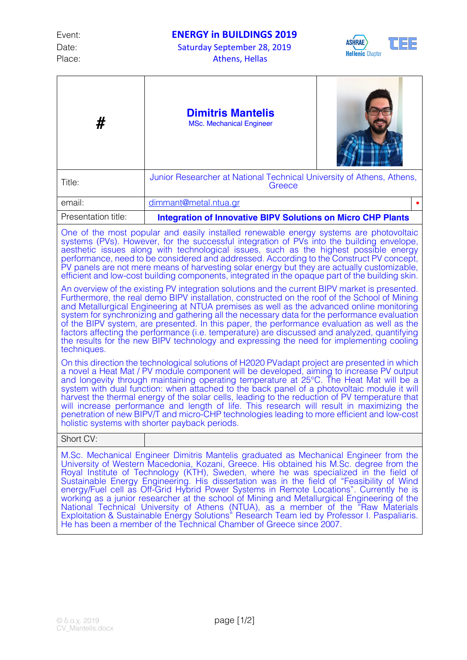Date: Saturday September 28, 2019 Place: Athens, Hellas



| #                                                                                                                                                                                                                                                                                                                                                                                                                                                                                                                                                                                                                                                                                                                                                                                                                                                                                                                                                                                                                                                                                                                                                                                                                                                                                   | <b>Dimitris Mantelis</b><br><b>MSc. Mechanical Engineer</b>                     |  |
|-------------------------------------------------------------------------------------------------------------------------------------------------------------------------------------------------------------------------------------------------------------------------------------------------------------------------------------------------------------------------------------------------------------------------------------------------------------------------------------------------------------------------------------------------------------------------------------------------------------------------------------------------------------------------------------------------------------------------------------------------------------------------------------------------------------------------------------------------------------------------------------------------------------------------------------------------------------------------------------------------------------------------------------------------------------------------------------------------------------------------------------------------------------------------------------------------------------------------------------------------------------------------------------|---------------------------------------------------------------------------------|--|
| Title:                                                                                                                                                                                                                                                                                                                                                                                                                                                                                                                                                                                                                                                                                                                                                                                                                                                                                                                                                                                                                                                                                                                                                                                                                                                                              | Junior Researcher at National Technical University of Athens, Athens,<br>Greece |  |
| email:                                                                                                                                                                                                                                                                                                                                                                                                                                                                                                                                                                                                                                                                                                                                                                                                                                                                                                                                                                                                                                                                                                                                                                                                                                                                              | dimmant@metal.ntua.gr                                                           |  |
| Presentation title:                                                                                                                                                                                                                                                                                                                                                                                                                                                                                                                                                                                                                                                                                                                                                                                                                                                                                                                                                                                                                                                                                                                                                                                                                                                                 | <b>Integration of Innovative BIPV Solutions on Micro CHP Plants</b>             |  |
| One of the most popular and easily installed renewable energy systems are photovoltaic<br>systems (PVs). However, for the successful integration of PVs into the building envelope,<br>aesthetic issues along with technological issues, such as the highest possible energy<br>performance, need to be considered and addressed. According to the Construct PV concept,<br>PV panels are not mere means of harvesting solar energy but they are actually customizable,<br>efficient and low-cost building components, integrated in the opaque part of the building skin.<br>An overview of the existing PV integration solutions and the current BIPV market is presented.<br>Furthermore, the real demo BIPV installation, constructed on the roof of the School of Mining<br>and Metallurgical Engineering at NTUA premises as well as the advanced online monitoring<br>system for synchronizing and gathering all the necessary data for the performance evaluation<br>of the BIPV system, are presented. In this paper, the performance evaluation as well as the<br>factors affecting the performance (i.e. temperature) are discussed and analyzed, quantifying<br>the results for the new BIPV technology and expressing the need for implementing cooling<br>techniques. |                                                                                 |  |
| On this direction the technological solutions of H2020 PVadapt project are presented in which<br>a novel a Heat Mat / PV module component will be developed, aiming to increase PV output<br>and longevity through maintaining operating temperature at 25°C. The Heat Mat will be a<br>system with dual function: when attached to the back panel of a photovoltaic module it will<br>harvest the thermal energy of the solar cells, leading to the reduction of PV temperature that<br>will increase performance and length of life. This research will result in maximizing the<br>penetration of new BIPV/T and micro-CHP technologies leading to more efficient and low-cost<br>holistic systems with shorter payback periods.                                                                                                                                                                                                                                                                                                                                                                                                                                                                                                                                                 |                                                                                 |  |
| Short CV:                                                                                                                                                                                                                                                                                                                                                                                                                                                                                                                                                                                                                                                                                                                                                                                                                                                                                                                                                                                                                                                                                                                                                                                                                                                                           |                                                                                 |  |
| M.Sc. Mechanical Engineer Dimitris Mantelis graduated as Mechanical Engineer from the<br>University of Western Macedonia, Kozani, Greece. His obtained his M.Sc. degree from the<br>Royal Institute of Technology (KTH), Sweden, where he was specialized in the field of<br>Sustainable Energy Engineering. His dissertation was in the field of "Feasibility of Wind<br>energy/Fuel cell as Off-Grid Hybrid Power Systems in Remote Locations". Currently he is<br>working as a junior researcher at the school of Mining and Metallurgical Engineering of the<br>National Technical University of Athens (NTUA), as a member of the "Raw Materials<br>Exploitation & Sustainable Energy Solutions" Research Team led by Professor I. Paspaliaris.<br>He has been a member of the Technical Chamber of Greece since 2007.                                                                                                                                                                                                                                                                                                                                                                                                                                                         |                                                                                 |  |